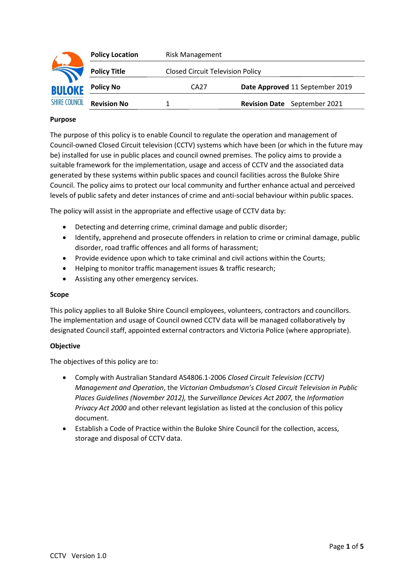|                      | <b>Policy Location</b> | <b>Risk Management</b> |                                         |  |
|----------------------|------------------------|------------------------|-----------------------------------------|--|
|                      | <b>Policy Title</b>    |                        | <b>Closed Circuit Television Policy</b> |  |
| <b>BULOKE</b>        | <b>Policy No</b>       | CA27                   | Date Approved 11 September 2019         |  |
| <b>SHIRE COUNCIL</b> | <b>Revision No</b>     |                        | <b>Revision Date</b> September 2021     |  |

### **Purpose**

The purpose of this policy is to enable Council to regulate the operation and management of Council-owned Closed Circuit television (CCTV) systems which have been (or which in the future may be) installed for use in public places and council owned premises. The policy aims to provide a suitable framework for the implementation, usage and access of CCTV and the associated data generated by these systems within public spaces and council facilities across the Buloke Shire Council. The policy aims to protect our local community and further enhance actual and perceived levels of public safety and deter instances of crime and anti-social behaviour within public spaces.

The policy will assist in the appropriate and effective usage of CCTV data by:

- Detecting and deterring crime, criminal damage and public disorder;
- Identify, apprehend and prosecute offenders in relation to crime or criminal damage, public disorder, road traffic offences and all forms of harassment;
- Provide evidence upon which to take criminal and civil actions within the Courts;
- Helping to monitor traffic management issues & traffic research;
- Assisting any other emergency services.

### **Scope**

This policy applies to all Buloke Shire Council employees, volunteers, contractors and councillors. The implementation and usage of Council owned CCTV data will be managed collaboratively by designated Council staff, appointed external contractors and Victoria Police (where appropriate).

## **Objective**

The objectives of this policy are to:

- Comply with Australian Standard AS4806.1-2006 *Closed Circuit Television (CCTV) Management and Operation*, the *Victorian Ombudsman's Closed Circuit Television in Public Places Guidelines (November 2012),* the *Surveillance Devices Act 2007,* the *Information Privacy Act 2000* and other relevant legislation as listed at the conclusion of this policy document.
- Establish a Code of Practice within the Buloke Shire Council for the collection, access, storage and disposal of CCTV data.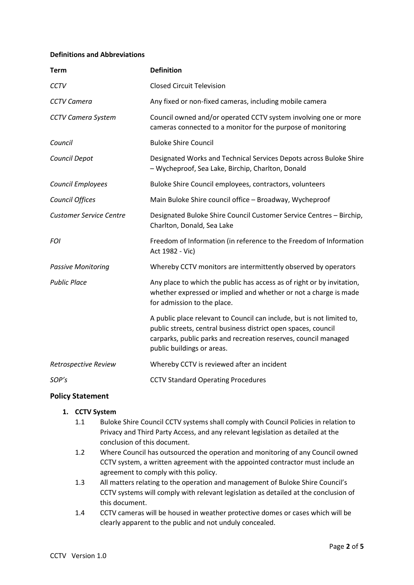### **Definitions and Abbreviations**

| <b>Term</b>                    | <b>Definition</b>                                                                                                                                                                                                                         |  |
|--------------------------------|-------------------------------------------------------------------------------------------------------------------------------------------------------------------------------------------------------------------------------------------|--|
| <b>CCTV</b>                    | <b>Closed Circuit Television</b>                                                                                                                                                                                                          |  |
| <b>CCTV Camera</b>             | Any fixed or non-fixed cameras, including mobile camera                                                                                                                                                                                   |  |
| <b>CCTV Camera System</b>      | Council owned and/or operated CCTV system involving one or more<br>cameras connected to a monitor for the purpose of monitoring                                                                                                           |  |
| Council                        | <b>Buloke Shire Council</b>                                                                                                                                                                                                               |  |
| Council Depot                  | Designated Works and Technical Services Depots across Buloke Shire<br>- Wycheproof, Sea Lake, Birchip, Charlton, Donald                                                                                                                   |  |
| Council Employees              | Buloke Shire Council employees, contractors, volunteers                                                                                                                                                                                   |  |
| Council Offices                | Main Buloke Shire council office - Broadway, Wycheproof                                                                                                                                                                                   |  |
| <b>Customer Service Centre</b> | Designated Buloke Shire Council Customer Service Centres - Birchip,<br>Charlton, Donald, Sea Lake                                                                                                                                         |  |
| <b>FOI</b>                     | Freedom of Information (in reference to the Freedom of Information<br>Act 1982 - Vic)                                                                                                                                                     |  |
| <b>Passive Monitoring</b>      | Whereby CCTV monitors are intermittently observed by operators                                                                                                                                                                            |  |
| <b>Public Place</b>            | Any place to which the public has access as of right or by invitation,<br>whether expressed or implied and whether or not a charge is made<br>for admission to the place.                                                                 |  |
|                                | A public place relevant to Council can include, but is not limited to,<br>public streets, central business district open spaces, council<br>carparks, public parks and recreation reserves, council managed<br>public buildings or areas. |  |
| Retrospective Review           | Whereby CCTV is reviewed after an incident                                                                                                                                                                                                |  |
| SOP's                          | <b>CCTV Standard Operating Procedures</b>                                                                                                                                                                                                 |  |

## **Policy Statement**

# **1. CCTV System**

- 1.1 Buloke Shire Council CCTV systems shall comply with Council Policies in relation to Privacy and Third Party Access, and any relevant legislation as detailed at the conclusion of this document.
- 1.2 Where Council has outsourced the operation and monitoring of any Council owned CCTV system, a written agreement with the appointed contractor must include an agreement to comply with this policy.
- 1.3 All matters relating to the operation and management of Buloke Shire Council's CCTV systems will comply with relevant legislation as detailed at the conclusion of this document.
- 1.4 CCTV cameras will be housed in weather protective domes or cases which will be clearly apparent to the public and not unduly concealed.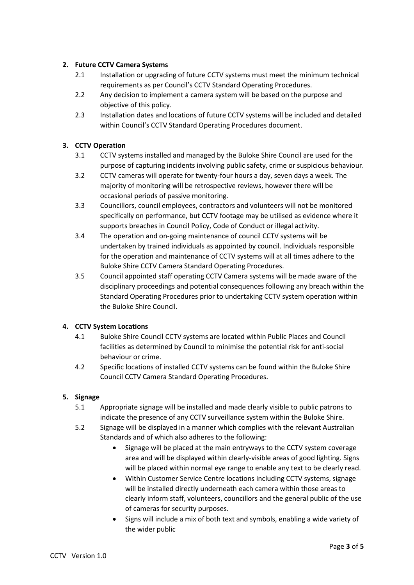# **2. Future CCTV Camera Systems**

- 2.1 Installation or upgrading of future CCTV systems must meet the minimum technical requirements as per Council's CCTV Standard Operating Procedures.
- 2.2 Any decision to implement a camera system will be based on the purpose and objective of this policy.
- 2.3 Installation dates and locations of future CCTV systems will be included and detailed within Council's CCTV Standard Operating Procedures document.

# **3. CCTV Operation**

- 3.1 CCTV systems installed and managed by the Buloke Shire Council are used for the purpose of capturing incidents involving public safety, crime or suspicious behaviour.
- 3.2 CCTV cameras will operate for twenty-four hours a day, seven days a week. The majority of monitoring will be retrospective reviews, however there will be occasional periods of passive monitoring.
- 3.3 Councillors, council employees, contractors and volunteers will not be monitored specifically on performance, but CCTV footage may be utilised as evidence where it supports breaches in Council Policy, Code of Conduct or illegal activity.
- 3.4 The operation and on-going maintenance of council CCTV systems will be undertaken by trained individuals as appointed by council. Individuals responsible for the operation and maintenance of CCTV systems will at all times adhere to the Buloke Shire CCTV Camera Standard Operating Procedures.
- 3.5 Council appointed staff operating CCTV Camera systems will be made aware of the disciplinary proceedings and potential consequences following any breach within the Standard Operating Procedures prior to undertaking CCTV system operation within the Buloke Shire Council.

# **4. CCTV System Locations**

- 4.1 Buloke Shire Council CCTV systems are located within Public Places and Council facilities as determined by Council to minimise the potential risk for anti-social behaviour or crime.
- 4.2 Specific locations of installed CCTV systems can be found within the Buloke Shire Council CCTV Camera Standard Operating Procedures.

## **5. Signage**

- 5.1 Appropriate signage will be installed and made clearly visible to public patrons to indicate the presence of any CCTV surveillance system within the Buloke Shire.
- 5.2 Signage will be displayed in a manner which complies with the relevant Australian Standards and of which also adheres to the following:
	- Signage will be placed at the main entryways to the CCTV system coverage area and will be displayed within clearly-visible areas of good lighting. Signs will be placed within normal eye range to enable any text to be clearly read.
	- Within Customer Service Centre locations including CCTV systems, signage will be installed directly underneath each camera within those areas to clearly inform staff, volunteers, councillors and the general public of the use of cameras for security purposes.
	- Signs will include a mix of both text and symbols, enabling a wide variety of the wider public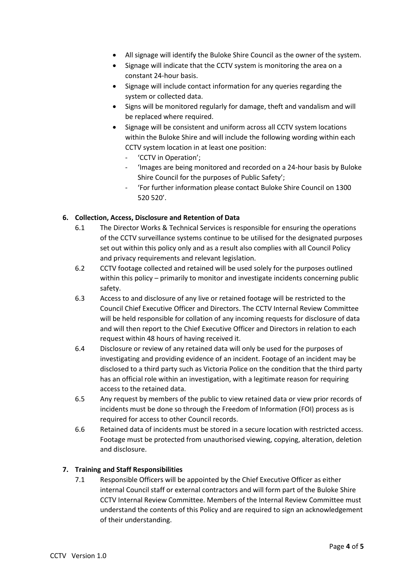- All signage will identify the Buloke Shire Council as the owner of the system.
- Signage will indicate that the CCTV system is monitoring the area on a constant 24-hour basis.
- Signage will include contact information for any queries regarding the system or collected data.
- Signs will be monitored regularly for damage, theft and vandalism and will be replaced where required.
- Signage will be consistent and uniform across all CCTV system locations within the Buloke Shire and will include the following wording within each CCTV system location in at least one position:
	- 'CCTV in Operation';
	- 'Images are being monitored and recorded on a 24-hour basis by Buloke Shire Council for the purposes of Public Safety';
	- 'For further information please contact Buloke Shire Council on 1300 520 520'.

# **6. Collection, Access, Disclosure and Retention of Data**

- 6.1 The Director Works & Technical Services is responsible for ensuring the operations of the CCTV surveillance systems continue to be utilised for the designated purposes set out within this policy only and as a result also complies with all Council Policy and privacy requirements and relevant legislation.
- 6.2 CCTV footage collected and retained will be used solely for the purposes outlined within this policy – primarily to monitor and investigate incidents concerning public safety.
- 6.3 Access to and disclosure of any live or retained footage will be restricted to the Council Chief Executive Officer and Directors. The CCTV Internal Review Committee will be held responsible for collation of any incoming requests for disclosure of data and will then report to the Chief Executive Officer and Directors in relation to each request within 48 hours of having received it.
- 6.4 Disclosure or review of any retained data will only be used for the purposes of investigating and providing evidence of an incident. Footage of an incident may be disclosed to a third party such as Victoria Police on the condition that the third party has an official role within an investigation, with a legitimate reason for requiring access to the retained data.
- 6.5 Any request by members of the public to view retained data or view prior records of incidents must be done so through the Freedom of Information (FOI) process as is required for access to other Council records.
- 6.6 Retained data of incidents must be stored in a secure location with restricted access. Footage must be protected from unauthorised viewing, copying, alteration, deletion and disclosure.

## **7. Training and Staff Responsibilities**

7.1 Responsible Officers will be appointed by the Chief Executive Officer as either internal Council staff or external contractors and will form part of the Buloke Shire CCTV Internal Review Committee. Members of the Internal Review Committee must understand the contents of this Policy and are required to sign an acknowledgement of their understanding.